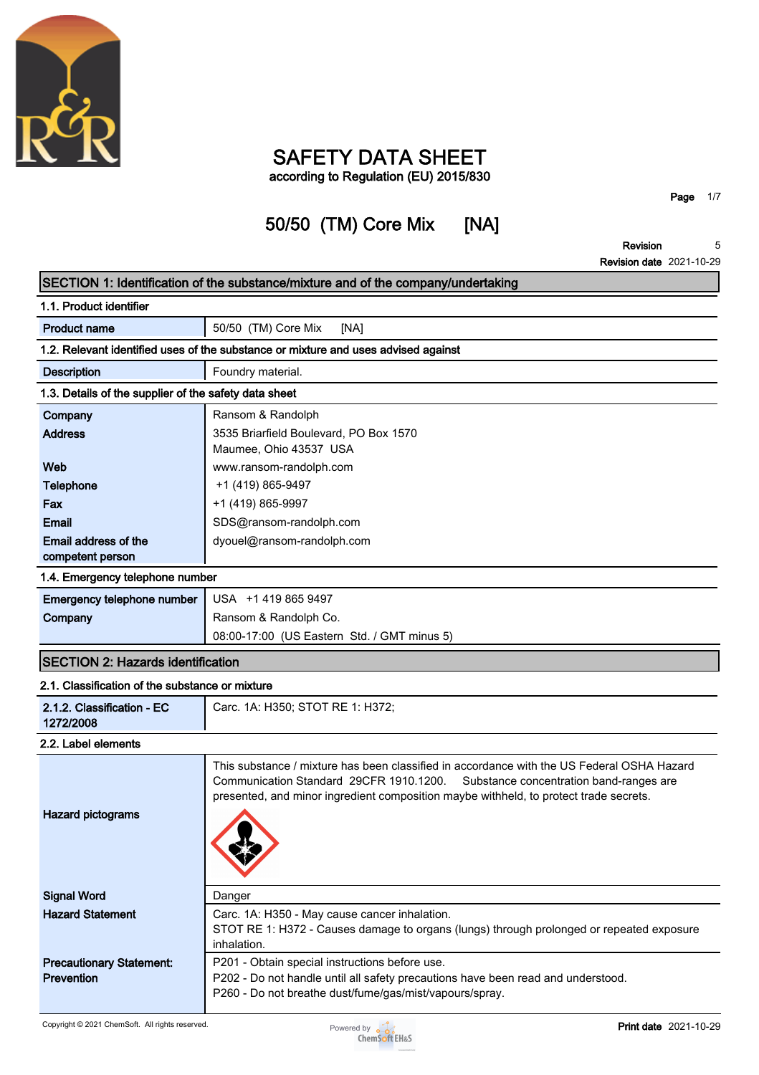

### **SAFETY DATA SHEET according to Regulation (EU) 2015/830**

## **50/50 (TM) Core Mix [NA]**

**Page 1/7**

**Revision 5**

|                                                       | <b>Revision date 2021-10-29</b>                                                                                                                                                                                                                                           |
|-------------------------------------------------------|---------------------------------------------------------------------------------------------------------------------------------------------------------------------------------------------------------------------------------------------------------------------------|
|                                                       | SECTION 1: Identification of the substance/mixture and of the company/undertaking                                                                                                                                                                                         |
| 1.1. Product identifier                               |                                                                                                                                                                                                                                                                           |
| <b>Product name</b>                                   | 50/50 (TM) Core Mix<br>[NA]                                                                                                                                                                                                                                               |
|                                                       | 1.2. Relevant identified uses of the substance or mixture and uses advised against                                                                                                                                                                                        |
| <b>Description</b>                                    | Foundry material.                                                                                                                                                                                                                                                         |
| 1.3. Details of the supplier of the safety data sheet |                                                                                                                                                                                                                                                                           |
| Company                                               | Ransom & Randolph                                                                                                                                                                                                                                                         |
| <b>Address</b>                                        | 3535 Briarfield Boulevard, PO Box 1570                                                                                                                                                                                                                                    |
|                                                       | Maumee, Ohio 43537 USA                                                                                                                                                                                                                                                    |
| Web                                                   | www.ransom-randolph.com                                                                                                                                                                                                                                                   |
| <b>Telephone</b>                                      | +1 (419) 865-9497                                                                                                                                                                                                                                                         |
| Fax                                                   | +1 (419) 865-9997                                                                                                                                                                                                                                                         |
| <b>Email</b>                                          | SDS@ransom-randolph.com                                                                                                                                                                                                                                                   |
| Email address of the<br>competent person              | dyouel@ransom-randolph.com                                                                                                                                                                                                                                                |
| 1.4. Emergency telephone number                       |                                                                                                                                                                                                                                                                           |
| Emergency telephone number                            | USA +1 419 865 9497                                                                                                                                                                                                                                                       |
| Company                                               | Ransom & Randolph Co.                                                                                                                                                                                                                                                     |
|                                                       | 08:00-17:00 (US Eastern Std. / GMT minus 5)                                                                                                                                                                                                                               |
| <b>SECTION 2: Hazards identification</b>              |                                                                                                                                                                                                                                                                           |
| 2.1. Classification of the substance or mixture       |                                                                                                                                                                                                                                                                           |
| 2.1.2. Classification - EC<br>1272/2008               | Carc. 1A: H350; STOT RE 1: H372;                                                                                                                                                                                                                                          |
| 2.2. Label elements                                   |                                                                                                                                                                                                                                                                           |
| <b>Hazard pictograms</b>                              | This substance / mixture has been classified in accordance with the US Federal OSHA Hazard<br>Communication Standard 29CFR 1910.1200.<br>Substance concentration band-ranges are<br>presented, and minor ingredient composition maybe withheld, to protect trade secrets. |
| <b>Signal Word</b>                                    | Danger                                                                                                                                                                                                                                                                    |
| <b>Hazard Statement</b>                               | Carc. 1A: H350 - May cause cancer inhalation.                                                                                                                                                                                                                             |
|                                                       | STOT RE 1: H372 - Causes damage to organs (lungs) through prolonged or repeated exposure<br>inhalation.                                                                                                                                                                   |
| <b>Precautionary Statement:</b>                       | P201 - Obtain special instructions before use.                                                                                                                                                                                                                            |
| <b>Prevention</b>                                     | P202 - Do not handle until all safety precautions have been read and understood.<br>P260 - Do not breathe dust/fume/gas/mist/vapours/spray.                                                                                                                               |

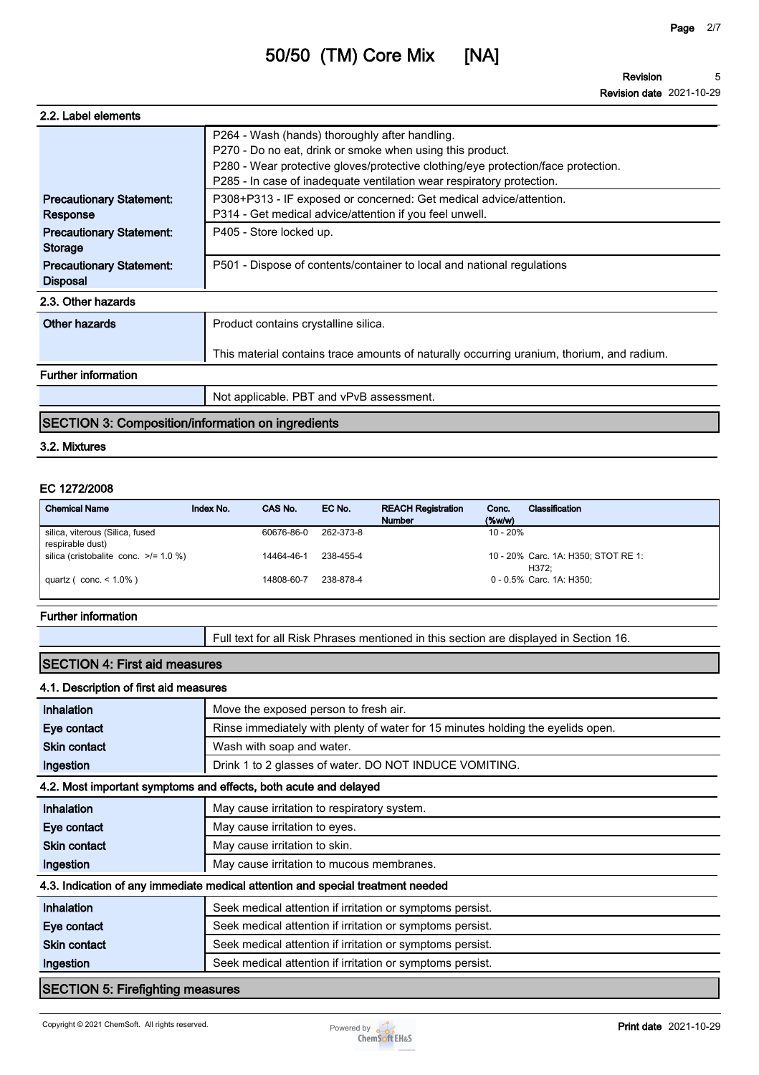**Revision Revision date 2021-10-29 5**

| 2.2. Label elements                                |                                                                                                                                                            |
|----------------------------------------------------|------------------------------------------------------------------------------------------------------------------------------------------------------------|
|                                                    | P264 - Wash (hands) thoroughly after handling.<br>P270 - Do no eat, drink or smoke when using this product.                                                |
|                                                    | P280 - Wear protective gloves/protective clothing/eye protection/face protection.<br>P285 - In case of inadequate ventilation wear respiratory protection. |
| <b>Precautionary Statement:</b><br>Response        | P308+P313 - IF exposed or concerned: Get medical advice/attention.<br>P314 - Get medical advice/attention if you feel unwell.                              |
| <b>Precautionary Statement:</b><br><b>Storage</b>  | P405 - Store locked up.                                                                                                                                    |
| <b>Precautionary Statement:</b><br><b>Disposal</b> | P501 - Dispose of contents/container to local and national regulations                                                                                     |
| 2.3. Other hazards                                 |                                                                                                                                                            |
| Other hazards                                      | Product contains crystalline silica.                                                                                                                       |
|                                                    | This material contains trace amounts of naturally occurring uranium, thorium, and radium.                                                                  |
| <b>Further information</b>                         |                                                                                                                                                            |
|                                                    | Not applicable. PBT and vPvB assessment.                                                                                                                   |
|                                                    |                                                                                                                                                            |

#### **SECTION 3: Composition/information on ingredients**

#### **3.2. Mixtures**

#### **EC 1272/2008**

| <b>Chemical Name</b>                       | Index No. | CAS No.    | EC No.    | <b>REACH Registration</b><br><b>Number</b> | Conc.<br>$(\%w/w)$ | Classification                      |
|--------------------------------------------|-----------|------------|-----------|--------------------------------------------|--------------------|-------------------------------------|
| silica, viterous (Silica, fused            |           | 60676-86-0 | 262-373-8 |                                            | $10 - 20%$         |                                     |
|                                            |           |            |           |                                            |                    |                                     |
| respirable dust)                           |           |            |           |                                            |                    |                                     |
| silica (cristobalite conc. $\ge$ /= 1.0 %) |           | 14464-46-1 | 238-455-4 |                                            |                    | 10 - 20% Carc. 1A: H350; STOT RE 1: |
|                                            |           |            |           |                                            |                    | H372:                               |
| quartz ( $conc. < 1.0\%$ )                 |           | 14808-60-7 | 238-878-4 |                                            |                    | 0 - 0.5% Carc. 1A: H350:            |
|                                            |           |            |           |                                            |                    |                                     |

#### **Further information**

**Full text for all Risk Phrases mentioned in this section are displayed in Section 16.**

#### **SECTION 4: First aid measures**

#### **4.1. Description of first aid measures**

| Inhalation                                                       | Move the exposed person to fresh air.                                           |  |  |
|------------------------------------------------------------------|---------------------------------------------------------------------------------|--|--|
| Eye contact                                                      | Rinse immediately with plenty of water for 15 minutes holding the eyelids open. |  |  |
| <b>Skin contact</b>                                              | Wash with soap and water.                                                       |  |  |
| Ingestion                                                        | Drink 1 to 2 glasses of water. DO NOT INDUCE VOMITING.                          |  |  |
| 4.2. Most important symptoms and effects, both acute and delayed |                                                                                 |  |  |
| Inhalation                                                       | May cause irritation to respiratory system.                                     |  |  |
| Eye contact                                                      | May cause irritation to eyes.                                                   |  |  |
| <b>Skin contact</b>                                              | May cause irritation to skin.                                                   |  |  |
| Ingestion                                                        | May cause irritation to mucous membranes.                                       |  |  |
|                                                                  | 4.3. Indication of any immediate medical attention and special treatment needed |  |  |
| Inhalation                                                       | Seek medical attention if irritation or symptoms persist.                       |  |  |
| Eye contact                                                      | Seek medical attention if irritation or symptoms persist.                       |  |  |
| <b>Skin contact</b>                                              | Seek medical attention if irritation or symptoms persist.                       |  |  |
| Ingestion                                                        | Seek medical attention if irritation or symptoms persist.                       |  |  |
| <b>SECTION 5: Firefighting measures</b>                          |                                                                                 |  |  |

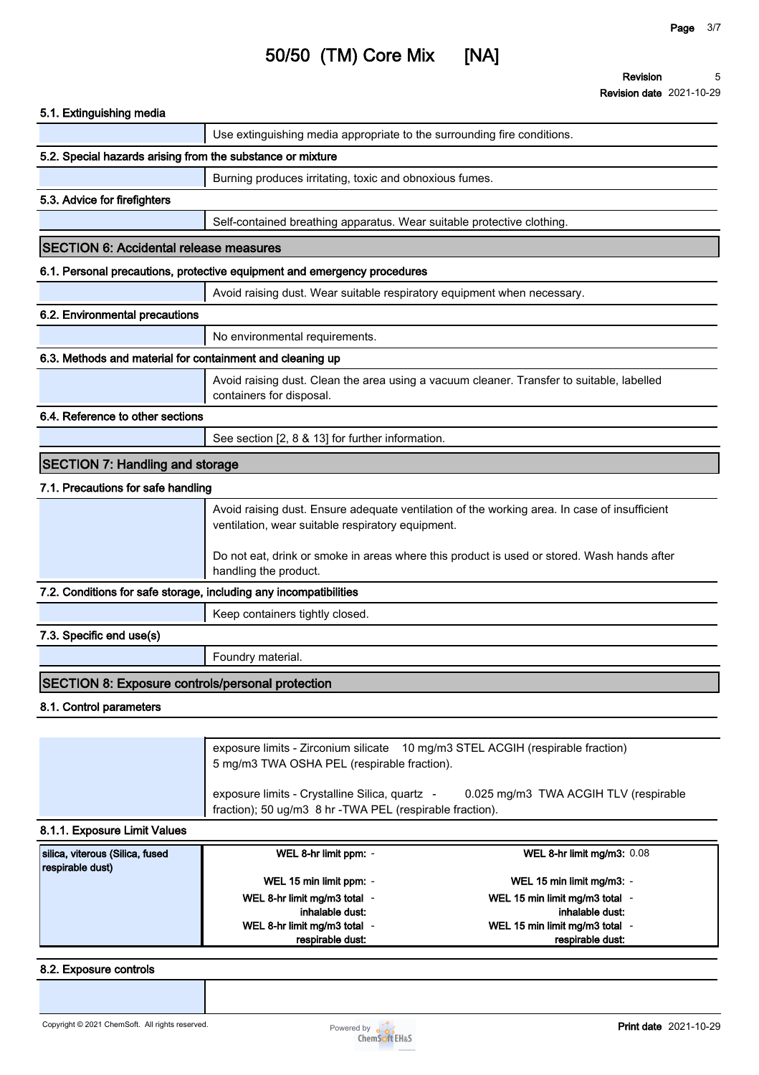| 5.1. Extinguishing media                                          |                                                                                                                                                                                                                                                 |                                                                                           |  |
|-------------------------------------------------------------------|-------------------------------------------------------------------------------------------------------------------------------------------------------------------------------------------------------------------------------------------------|-------------------------------------------------------------------------------------------|--|
|                                                                   | Use extinguishing media appropriate to the surrounding fire conditions.                                                                                                                                                                         |                                                                                           |  |
| 5.2. Special hazards arising from the substance or mixture        |                                                                                                                                                                                                                                                 |                                                                                           |  |
|                                                                   | Burning produces irritating, toxic and obnoxious fumes.                                                                                                                                                                                         |                                                                                           |  |
| 5.3. Advice for firefighters                                      |                                                                                                                                                                                                                                                 |                                                                                           |  |
|                                                                   | Self-contained breathing apparatus. Wear suitable protective clothing.                                                                                                                                                                          |                                                                                           |  |
| <b>SECTION 6: Accidental release measures</b>                     |                                                                                                                                                                                                                                                 |                                                                                           |  |
|                                                                   | 6.1. Personal precautions, protective equipment and emergency procedures                                                                                                                                                                        |                                                                                           |  |
|                                                                   | Avoid raising dust. Wear suitable respiratory equipment when necessary.                                                                                                                                                                         |                                                                                           |  |
| 6.2. Environmental precautions                                    |                                                                                                                                                                                                                                                 |                                                                                           |  |
|                                                                   | No environmental requirements.                                                                                                                                                                                                                  |                                                                                           |  |
| 6.3. Methods and material for containment and cleaning up         |                                                                                                                                                                                                                                                 |                                                                                           |  |
|                                                                   | containers for disposal.                                                                                                                                                                                                                        | Avoid raising dust. Clean the area using a vacuum cleaner. Transfer to suitable, labelled |  |
| 6.4. Reference to other sections                                  |                                                                                                                                                                                                                                                 |                                                                                           |  |
|                                                                   | See section [2, 8 & 13] for further information.                                                                                                                                                                                                |                                                                                           |  |
| <b>SECTION 7: Handling and storage</b>                            |                                                                                                                                                                                                                                                 |                                                                                           |  |
| 7.1. Precautions for safe handling                                |                                                                                                                                                                                                                                                 |                                                                                           |  |
|                                                                   | Avoid raising dust. Ensure adequate ventilation of the working area. In case of insufficient<br>ventilation, wear suitable respiratory equipment.<br>Do not eat, drink or smoke in areas where this product is used or stored. Wash hands after |                                                                                           |  |
|                                                                   | handling the product.                                                                                                                                                                                                                           |                                                                                           |  |
| 7.2. Conditions for safe storage, including any incompatibilities |                                                                                                                                                                                                                                                 |                                                                                           |  |
|                                                                   | Keep containers tightly closed.                                                                                                                                                                                                                 |                                                                                           |  |
| 7.3. Specific end use(s)                                          |                                                                                                                                                                                                                                                 |                                                                                           |  |
|                                                                   | Foundry material.                                                                                                                                                                                                                               |                                                                                           |  |
| <b>SECTION 8: Exposure controls/personal protection</b>           |                                                                                                                                                                                                                                                 |                                                                                           |  |
| 8.1. Control parameters                                           |                                                                                                                                                                                                                                                 |                                                                                           |  |
|                                                                   |                                                                                                                                                                                                                                                 |                                                                                           |  |
|                                                                   | exposure limits - Zirconium silicate 10 mg/m3 STEL ACGIH (respirable fraction)<br>5 mg/m3 TWA OSHA PEL (respirable fraction).                                                                                                                   |                                                                                           |  |
|                                                                   | exposure limits - Crystalline Silica, quartz -<br>fraction); 50 ug/m3 8 hr - TWA PEL (respirable fraction).                                                                                                                                     | 0.025 mg/m3 TWA ACGIH TLV (respirable                                                     |  |
| 8.1.1. Exposure Limit Values                                      |                                                                                                                                                                                                                                                 |                                                                                           |  |
| silica, viterous (Silica, fused                                   | WEL 8-hr limit ppm: -                                                                                                                                                                                                                           | WEL 8-hr limit mg/m3: 0.08                                                                |  |
| respirable dust)                                                  | WEL 15 min limit ppm: -                                                                                                                                                                                                                         | WEL 15 min limit mg/m3: -                                                                 |  |
|                                                                   | WEL 8-hr limit mg/m3 total -                                                                                                                                                                                                                    | WEL 15 min limit mg/m3 total -                                                            |  |
|                                                                   | inhalable dust:<br>WEL 8-hr limit mg/m3 total -                                                                                                                                                                                                 | inhalable dust:<br>WEL 15 min limit mg/m3 total -                                         |  |
|                                                                   | respirable dust:                                                                                                                                                                                                                                | respirable dust:                                                                          |  |

#### **8.2. Exposure controls**

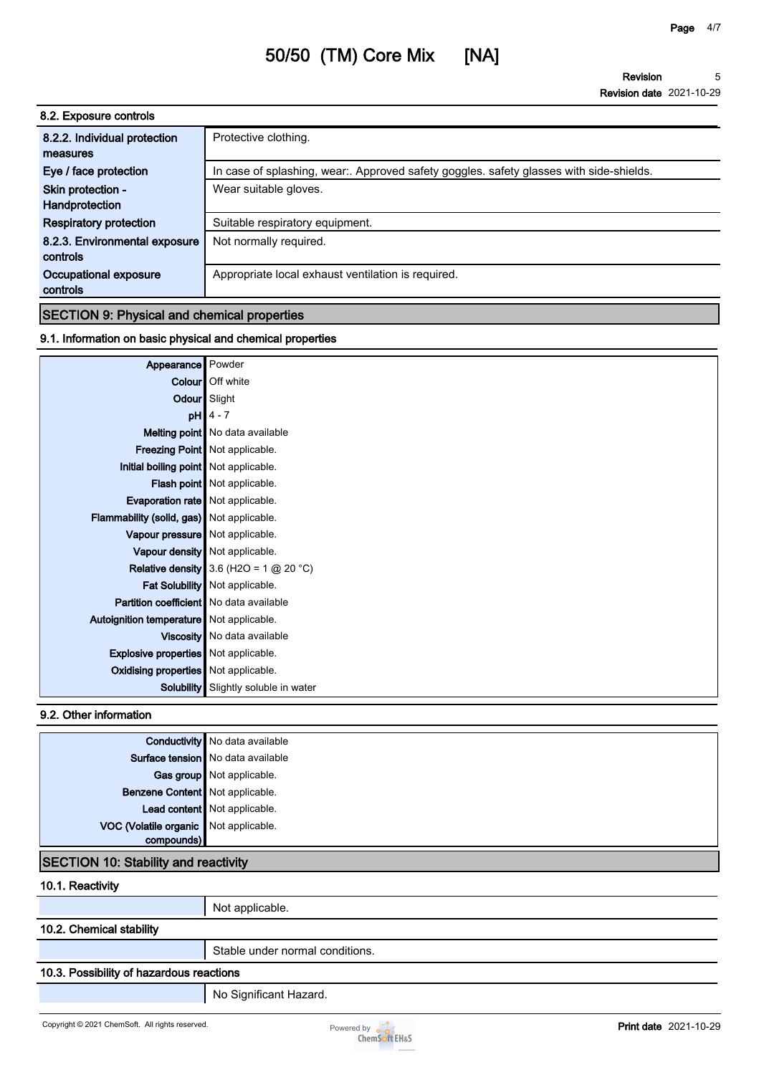| 8.2. Exposure controls        |                                                                                         |
|-------------------------------|-----------------------------------------------------------------------------------------|
| 8.2.2. Individual protection  | Protective clothing.                                                                    |
| measures                      |                                                                                         |
| Eye / face protection         | In case of splashing, wear:. Approved safety goggles. safety glasses with side-shields. |
| Skin protection -             | Wear suitable gloves.                                                                   |
| Handprotection                |                                                                                         |
| <b>Respiratory protection</b> | Suitable respiratory equipment.                                                         |
| 8.2.3. Environmental exposure | Not normally required.                                                                  |
| controls                      |                                                                                         |
| Occupational exposure         | Appropriate local exhaust ventilation is required.                                      |
| controls                      |                                                                                         |

#### **SECTION 9: Physical and chemical properties**

#### **9.1. Information on basic physical and chemical properties**

| Appearance                                  | Powder                                   |
|---------------------------------------------|------------------------------------------|
| Colour                                      | Off white                                |
|                                             | Odour Slight                             |
| pH                                          | $4 - 7$                                  |
|                                             | <b>Melting point</b> No data available   |
|                                             | <b>Freezing Point   Not applicable.</b>  |
| Initial boiling point Not applicable.       |                                          |
|                                             | <b>Flash point</b> Not applicable.       |
| <b>Evaporation rate</b> Not applicable.     |                                          |
| Flammability (solid, gas) Not applicable.   |                                          |
| Vapour pressure   Not applicable.           |                                          |
|                                             | Vapour density   Not applicable.         |
|                                             | Relative density 3.6 (H2O = 1 $@$ 20 °C) |
|                                             | Fat Solubility   Not applicable.         |
| Partition coefficient   No data available   |                                          |
| Autoignition temperature   Not applicable.  |                                          |
|                                             | Viscosity   No data available            |
| <b>Explosive properties</b> Not applicable. |                                          |
| Oxidising properties   Not applicable.      |                                          |
| Solubility                                  | Slightly soluble in water                |

#### **9.2. Other information**

|                                       | <b>Conductivity</b> No data available |
|---------------------------------------|---------------------------------------|
|                                       | Surface tension No data available     |
|                                       | Gas group Not applicable.             |
| Benzene Content Not applicable.       |                                       |
|                                       | Lead content Not applicable.          |
| VOC (Volatile organic Not applicable. |                                       |
| compounds)                            |                                       |

#### **SECTION 10: Stability and reactivity**

**10.1. Reactivity**

**Not applicable.**

#### **10.2. Chemical stability**

**Stable under normal conditions.**

#### **10.3. Possibility of hazardous reactions**

**No Significant Hazard.**

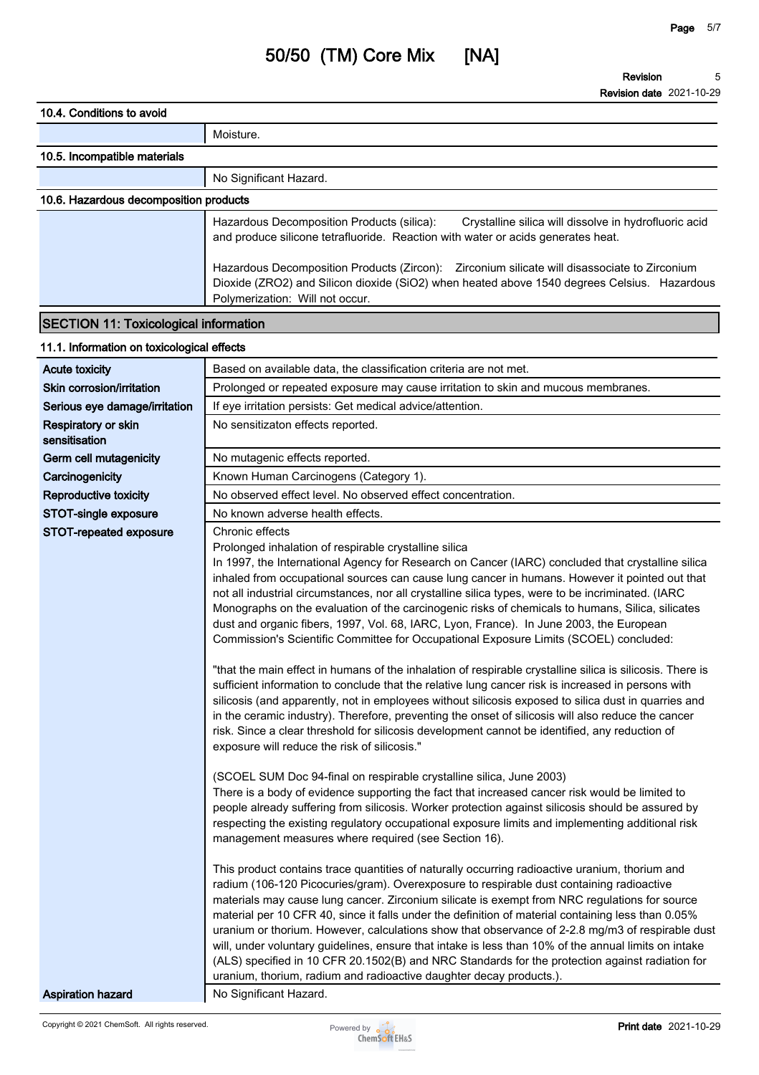**Revision Revision date 2021-10-29 5**

| 10.4. Conditions to avoid                    |                                                                                                                                                                                                                                |  |  |
|----------------------------------------------|--------------------------------------------------------------------------------------------------------------------------------------------------------------------------------------------------------------------------------|--|--|
|                                              |                                                                                                                                                                                                                                |  |  |
|                                              | Moisture.                                                                                                                                                                                                                      |  |  |
| 10.5. Incompatible materials                 |                                                                                                                                                                                                                                |  |  |
|                                              | No Significant Hazard.                                                                                                                                                                                                         |  |  |
| 10.6. Hazardous decomposition products       |                                                                                                                                                                                                                                |  |  |
|                                              | Hazardous Decomposition Products (silica):<br>Crystalline silica will dissolve in hydrofluoric acid<br>and produce silicone tetrafluoride. Reaction with water or acids generates heat.                                        |  |  |
|                                              | Hazardous Decomposition Products (Zircon): Zirconium silicate will disassociate to Zirconium<br>Dioxide (ZRO2) and Silicon dioxide (SiO2) when heated above 1540 degrees Celsius. Hazardous<br>Polymerization: Will not occur. |  |  |
| <b>SECTION 11: Toxicological information</b> |                                                                                                                                                                                                                                |  |  |

#### **11.1. Information on toxicological effects**

| <b>Acute toxicity</b>                | Based on available data, the classification criteria are not met.                                                                                                                                                                                                                                                                                                                                                                                                                                                                                                                                                                                                                                                                                                                                                                                                                                                                                                                                                                                                                                                                                                                                                                                                                                                                        |
|--------------------------------------|------------------------------------------------------------------------------------------------------------------------------------------------------------------------------------------------------------------------------------------------------------------------------------------------------------------------------------------------------------------------------------------------------------------------------------------------------------------------------------------------------------------------------------------------------------------------------------------------------------------------------------------------------------------------------------------------------------------------------------------------------------------------------------------------------------------------------------------------------------------------------------------------------------------------------------------------------------------------------------------------------------------------------------------------------------------------------------------------------------------------------------------------------------------------------------------------------------------------------------------------------------------------------------------------------------------------------------------|
| Skin corrosion/irritation            | Prolonged or repeated exposure may cause irritation to skin and mucous membranes.                                                                                                                                                                                                                                                                                                                                                                                                                                                                                                                                                                                                                                                                                                                                                                                                                                                                                                                                                                                                                                                                                                                                                                                                                                                        |
| Serious eye damage/irritation        | If eye irritation persists: Get medical advice/attention.                                                                                                                                                                                                                                                                                                                                                                                                                                                                                                                                                                                                                                                                                                                                                                                                                                                                                                                                                                                                                                                                                                                                                                                                                                                                                |
| Respiratory or skin<br>sensitisation | No sensitizaton effects reported.                                                                                                                                                                                                                                                                                                                                                                                                                                                                                                                                                                                                                                                                                                                                                                                                                                                                                                                                                                                                                                                                                                                                                                                                                                                                                                        |
| Germ cell mutagenicity               | No mutagenic effects reported.                                                                                                                                                                                                                                                                                                                                                                                                                                                                                                                                                                                                                                                                                                                                                                                                                                                                                                                                                                                                                                                                                                                                                                                                                                                                                                           |
| Carcinogenicity                      | Known Human Carcinogens (Category 1).                                                                                                                                                                                                                                                                                                                                                                                                                                                                                                                                                                                                                                                                                                                                                                                                                                                                                                                                                                                                                                                                                                                                                                                                                                                                                                    |
| Reproductive toxicity                | No observed effect level. No observed effect concentration.                                                                                                                                                                                                                                                                                                                                                                                                                                                                                                                                                                                                                                                                                                                                                                                                                                                                                                                                                                                                                                                                                                                                                                                                                                                                              |
| STOT-single exposure                 | No known adverse health effects.                                                                                                                                                                                                                                                                                                                                                                                                                                                                                                                                                                                                                                                                                                                                                                                                                                                                                                                                                                                                                                                                                                                                                                                                                                                                                                         |
| STOT-repeated exposure               | Chronic effects<br>Prolonged inhalation of respirable crystalline silica<br>In 1997, the International Agency for Research on Cancer (IARC) concluded that crystalline silica<br>inhaled from occupational sources can cause lung cancer in humans. However it pointed out that<br>not all industrial circumstances, nor all crystalline silica types, were to be incriminated. (IARC<br>Monographs on the evaluation of the carcinogenic risks of chemicals to humans, Silica, silicates<br>dust and organic fibers, 1997, Vol. 68, IARC, Lyon, France). In June 2003, the European<br>Commission's Scientific Committee for Occupational Exposure Limits (SCOEL) concluded:<br>"that the main effect in humans of the inhalation of respirable crystalline silica is silicosis. There is<br>sufficient information to conclude that the relative lung cancer risk is increased in persons with<br>silicosis (and apparently, not in employees without silicosis exposed to silica dust in quarries and<br>in the ceramic industry). Therefore, preventing the onset of silicosis will also reduce the cancer<br>risk. Since a clear threshold for silicosis development cannot be identified, any reduction of<br>exposure will reduce the risk of silicosis."<br>(SCOEL SUM Doc 94-final on respirable crystalline silica, June 2003) |
|                                      | There is a body of evidence supporting the fact that increased cancer risk would be limited to<br>people already suffering from silicosis. Worker protection against silicosis should be assured by<br>respecting the existing regulatory occupational exposure limits and implementing additional risk<br>management measures where required (see Section 16).                                                                                                                                                                                                                                                                                                                                                                                                                                                                                                                                                                                                                                                                                                                                                                                                                                                                                                                                                                          |
|                                      | This product contains trace quantities of naturally occurring radioactive uranium, thorium and<br>radium (106-120 Picocuries/gram). Overexposure to respirable dust containing radioactive<br>materials may cause lung cancer. Zirconium silicate is exempt from NRC regulations for source<br>material per 10 CFR 40, since it falls under the definition of material containing less than 0.05%<br>uranium or thorium. However, calculations show that observance of 2-2.8 mg/m3 of respirable dust<br>will, under voluntary guidelines, ensure that intake is less than 10% of the annual limits on intake<br>(ALS) specified in 10 CFR 20.1502(B) and NRC Standards for the protection against radiation for<br>uranium, thorium, radium and radioactive daughter decay products.).                                                                                                                                                                                                                                                                                                                                                                                                                                                                                                                                                  |
| <b>Aspiration hazard</b>             | No Significant Hazard.                                                                                                                                                                                                                                                                                                                                                                                                                                                                                                                                                                                                                                                                                                                                                                                                                                                                                                                                                                                                                                                                                                                                                                                                                                                                                                                   |

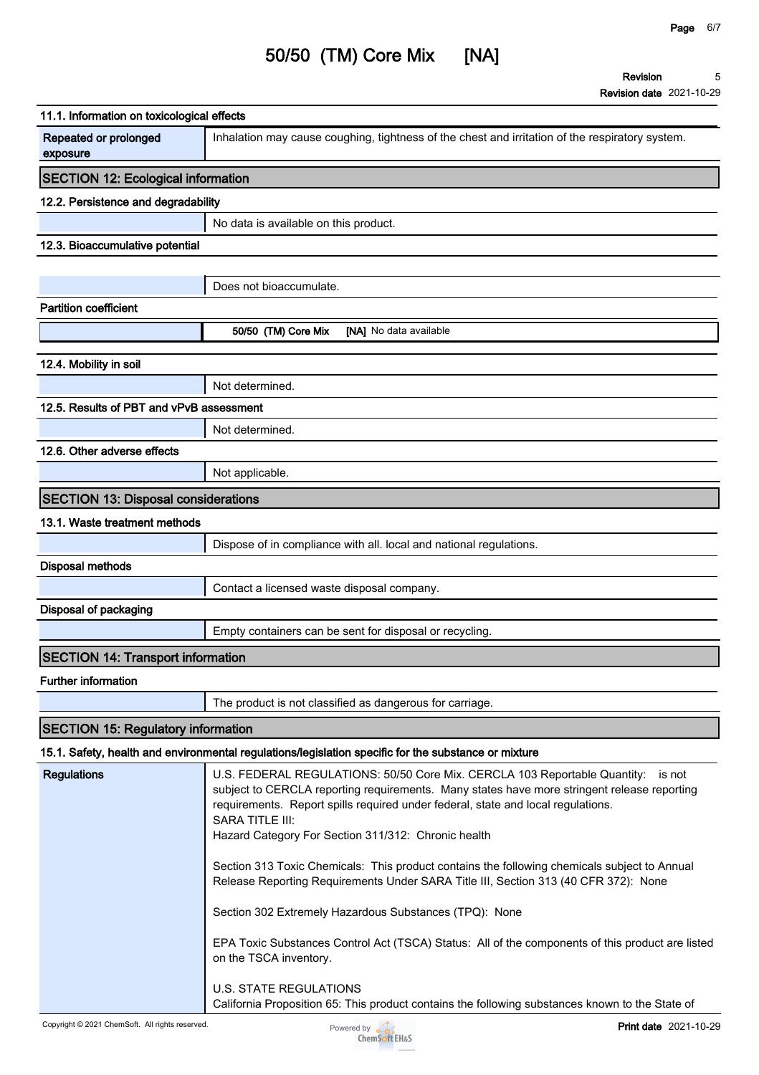**Revision Revision date 2021-10-29 5**

| 11.1. Information on toxicological effects |                                                                                                                                                                                                                                                                                                                                                                                                                                                                                                                                                                                                                                                                                                                                                                      |
|--------------------------------------------|----------------------------------------------------------------------------------------------------------------------------------------------------------------------------------------------------------------------------------------------------------------------------------------------------------------------------------------------------------------------------------------------------------------------------------------------------------------------------------------------------------------------------------------------------------------------------------------------------------------------------------------------------------------------------------------------------------------------------------------------------------------------|
| Repeated or prolonged<br>exposure          | Inhalation may cause coughing, tightness of the chest and irritation of the respiratory system.                                                                                                                                                                                                                                                                                                                                                                                                                                                                                                                                                                                                                                                                      |
| <b>SECTION 12: Ecological information</b>  |                                                                                                                                                                                                                                                                                                                                                                                                                                                                                                                                                                                                                                                                                                                                                                      |
| 12.2. Persistence and degradability        |                                                                                                                                                                                                                                                                                                                                                                                                                                                                                                                                                                                                                                                                                                                                                                      |
|                                            | No data is available on this product.                                                                                                                                                                                                                                                                                                                                                                                                                                                                                                                                                                                                                                                                                                                                |
| 12.3. Bioaccumulative potential            |                                                                                                                                                                                                                                                                                                                                                                                                                                                                                                                                                                                                                                                                                                                                                                      |
|                                            |                                                                                                                                                                                                                                                                                                                                                                                                                                                                                                                                                                                                                                                                                                                                                                      |
|                                            | Does not bioaccumulate.                                                                                                                                                                                                                                                                                                                                                                                                                                                                                                                                                                                                                                                                                                                                              |
| <b>Partition coefficient</b>               |                                                                                                                                                                                                                                                                                                                                                                                                                                                                                                                                                                                                                                                                                                                                                                      |
|                                            | 50/50 (TM) Core Mix<br>[NA] No data available                                                                                                                                                                                                                                                                                                                                                                                                                                                                                                                                                                                                                                                                                                                        |
| 12.4. Mobility in soil                     |                                                                                                                                                                                                                                                                                                                                                                                                                                                                                                                                                                                                                                                                                                                                                                      |
|                                            | Not determined.                                                                                                                                                                                                                                                                                                                                                                                                                                                                                                                                                                                                                                                                                                                                                      |
| 12.5. Results of PBT and vPvB assessment   |                                                                                                                                                                                                                                                                                                                                                                                                                                                                                                                                                                                                                                                                                                                                                                      |
|                                            | Not determined.                                                                                                                                                                                                                                                                                                                                                                                                                                                                                                                                                                                                                                                                                                                                                      |
| 12.6. Other adverse effects                |                                                                                                                                                                                                                                                                                                                                                                                                                                                                                                                                                                                                                                                                                                                                                                      |
|                                            | Not applicable.                                                                                                                                                                                                                                                                                                                                                                                                                                                                                                                                                                                                                                                                                                                                                      |
|                                            |                                                                                                                                                                                                                                                                                                                                                                                                                                                                                                                                                                                                                                                                                                                                                                      |
| <b>SECTION 13: Disposal considerations</b> |                                                                                                                                                                                                                                                                                                                                                                                                                                                                                                                                                                                                                                                                                                                                                                      |
| 13.1. Waste treatment methods              |                                                                                                                                                                                                                                                                                                                                                                                                                                                                                                                                                                                                                                                                                                                                                                      |
|                                            | Dispose of in compliance with all. local and national regulations.                                                                                                                                                                                                                                                                                                                                                                                                                                                                                                                                                                                                                                                                                                   |
| <b>Disposal methods</b>                    |                                                                                                                                                                                                                                                                                                                                                                                                                                                                                                                                                                                                                                                                                                                                                                      |
|                                            | Contact a licensed waste disposal company.                                                                                                                                                                                                                                                                                                                                                                                                                                                                                                                                                                                                                                                                                                                           |
| Disposal of packaging                      |                                                                                                                                                                                                                                                                                                                                                                                                                                                                                                                                                                                                                                                                                                                                                                      |
|                                            | Empty containers can be sent for disposal or recycling.                                                                                                                                                                                                                                                                                                                                                                                                                                                                                                                                                                                                                                                                                                              |
| <b>SECTION 14: Transport information</b>   |                                                                                                                                                                                                                                                                                                                                                                                                                                                                                                                                                                                                                                                                                                                                                                      |
| Further information                        |                                                                                                                                                                                                                                                                                                                                                                                                                                                                                                                                                                                                                                                                                                                                                                      |
|                                            | The product is not classified as dangerous for carriage.                                                                                                                                                                                                                                                                                                                                                                                                                                                                                                                                                                                                                                                                                                             |
| <b>SECTION 15: Regulatory information</b>  |                                                                                                                                                                                                                                                                                                                                                                                                                                                                                                                                                                                                                                                                                                                                                                      |
|                                            | 15.1. Safety, health and environmental regulations/legislation specific for the substance or mixture                                                                                                                                                                                                                                                                                                                                                                                                                                                                                                                                                                                                                                                                 |
| <b>Regulations</b>                         | U.S. FEDERAL REGULATIONS: 50/50 Core Mix. CERCLA 103 Reportable Quantity: is not<br>subject to CERCLA reporting requirements. Many states have more stringent release reporting<br>requirements. Report spills required under federal, state and local regulations.<br><b>SARA TITLE III:</b><br>Hazard Category For Section 311/312: Chronic health<br>Section 313 Toxic Chemicals: This product contains the following chemicals subject to Annual<br>Release Reporting Requirements Under SARA Title III, Section 313 (40 CFR 372): None<br>Section 302 Extremely Hazardous Substances (TPQ): None<br>EPA Toxic Substances Control Act (TSCA) Status: All of the components of this product are listed<br>on the TSCA inventory.<br><b>U.S. STATE REGULATIONS</b> |
|                                            | California Proposition 65: This product contains the following substances known to the State of                                                                                                                                                                                                                                                                                                                                                                                                                                                                                                                                                                                                                                                                      |